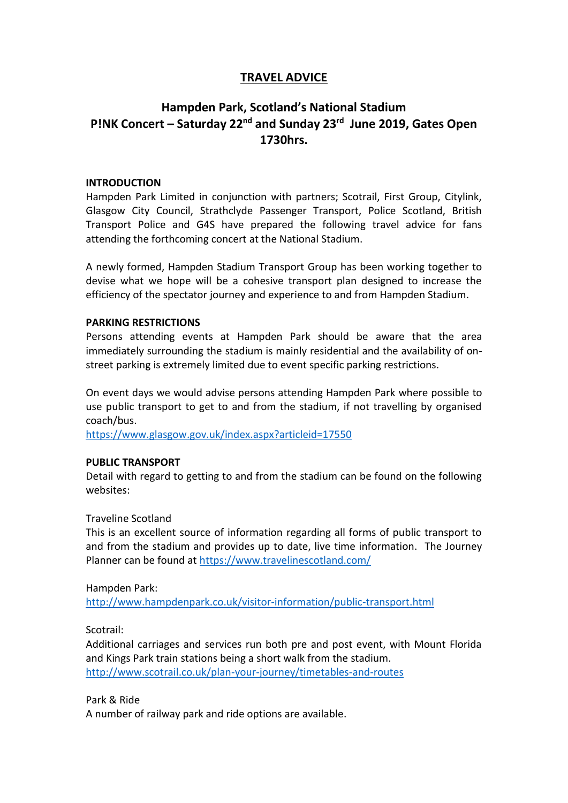# **TRAVEL ADVICE**

# **Hampden Park, Scotland's National Stadium P!NK Concert – Saturday 22nd and Sunday 23rd June 2019, Gates Open 1730hrs.**

## **INTRODUCTION**

Hampden Park Limited in conjunction with partners; Scotrail, First Group, Citylink, Glasgow City Council, Strathclyde Passenger Transport, Police Scotland, British Transport Police and G4S have prepared the following travel advice for fans attending the forthcoming concert at the National Stadium.

A newly formed, Hampden Stadium Transport Group has been working together to devise what we hope will be a cohesive transport plan designed to increase the efficiency of the spectator journey and experience to and from Hampden Stadium.

### **PARKING RESTRICTIONS**

Persons attending events at Hampden Park should be aware that the area immediately surrounding the stadium is mainly residential and the availability of onstreet parking is extremely limited due to event specific parking restrictions.

On event days we would advise persons attending Hampden Park where possible to use public transport to get to and from the stadium, if not travelling by organised coach/bus.

<https://www.glasgow.gov.uk/index.aspx?articleid=17550>

#### **PUBLIC TRANSPORT**

Detail with regard to getting to and from the stadium can be found on the following websites:

## Traveline Scotland

This is an excellent source of information regarding all forms of public transport to and from the stadium and provides up to date, live time information. The Journey Planner can be found at<https://www.travelinescotland.com/>

Hampden Park:

<http://www.hampdenpark.co.uk/visitor-information/public-transport.html>

Scotrail:

Additional carriages and services run both pre and post event, with Mount Florida and Kings Park train stations being a short walk from the stadium. <http://www.scotrail.co.uk/plan-your-journey/timetables-and-routes>

Park & Ride

A number of railway park and ride options are available.